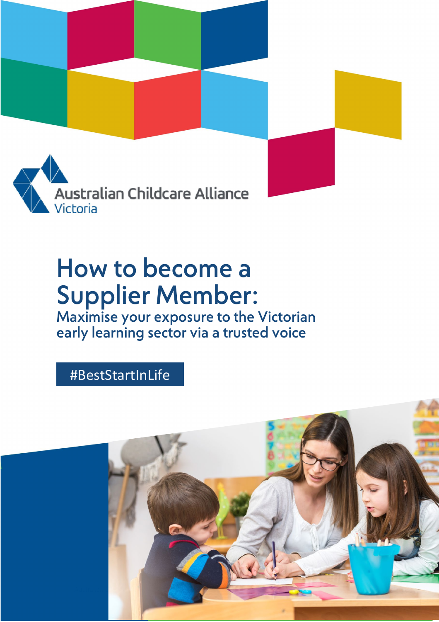



## How to become a Supplier Member:

Maximise your exposure to the Victorian early learning sector via a trusted voice

#BestStartInLife

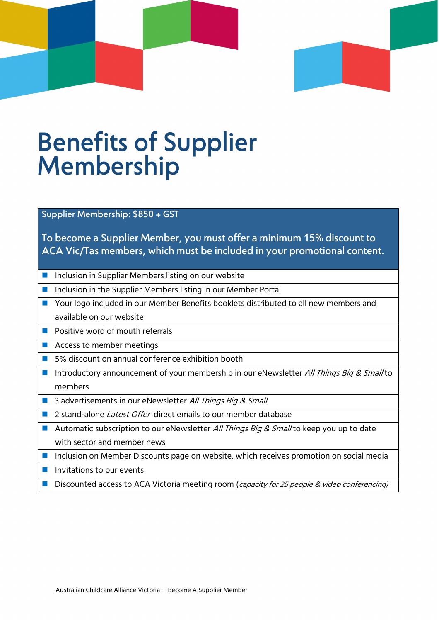## Benefits of Supplier Membership

Supplier Membership: \$850 + GST

To become a Supplier Member, you must offer a minimum 15% discount to ACA Vic/Tas members, which must be included in your promotional content.

- **Inclusion in Supplier Members listing on our website**
- Inclusion in the Supplier Members listing in our Member Portal
- Your logo included in our Member Benefits booklets distributed to all new members and available on our website
- $\blacksquare$  Positive word of mouth referrals
- Access to member meetings
- 5% discount on annual conference exhibition booth
- Introductory announcement of your membership in our eNewsletter All Things Big & Small to members
- **3** advertisements in our eNewsletter All Things Big & Small
- 2 stand-alone *Latest Offer* direct emails to our member database
- Automatic subscription to our eNewsletter All Things Big & Small to keep you up to date with sector and member news
- **Inclusion on Member Discounts page on website, which receives promotion on social media**
- $\blacksquare$  Invitations to our events
- Discounted access to ACA Victoria meeting room (capacity for 25 people & video conferencing)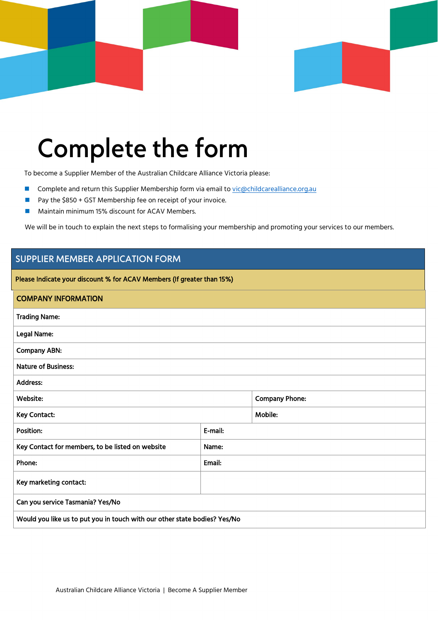# Complete the form

To become a Supplier Member of the Australian Childcare Alliance Victoria please:

- Complete and return this Supplier Membership form via email to [vic@childcarealliance.org.au](mailto:vic@childcarealliance.org.au)
- **Pay the \$850 + GST Membership fee on receipt of your invoice.**
- **Maintain minimum 15% discount for ACAV Members.**

We will be in touch to explain the next steps to formalising your membership and promoting your services to our members.

#### SUPPLIER MEMBER APPLICATION FORM

Please Indicate your discount % for ACAV Members (If greater than 15%)

| <b>COMPANY INFORMATION</b>                                                |         |                       |
|---------------------------------------------------------------------------|---------|-----------------------|
| <b>Trading Name:</b>                                                      |         |                       |
| Legal Name:                                                               |         |                       |
| <b>Company ABN:</b>                                                       |         |                       |
| <b>Nature of Business:</b>                                                |         |                       |
| <b>Address:</b>                                                           |         |                       |
| Website:                                                                  |         | <b>Company Phone:</b> |
| Key Contact:                                                              |         | Mobile:               |
| Position:                                                                 | E-mail: |                       |
| Key Contact for members, to be listed on website                          | Name:   |                       |
| Phone:                                                                    | Email:  |                       |
| Key marketing contact:                                                    |         |                       |
| Can you service Tasmania? Yes/No                                          |         |                       |
| Would you like us to put you in touch with our other state bodies? Yes/No |         |                       |